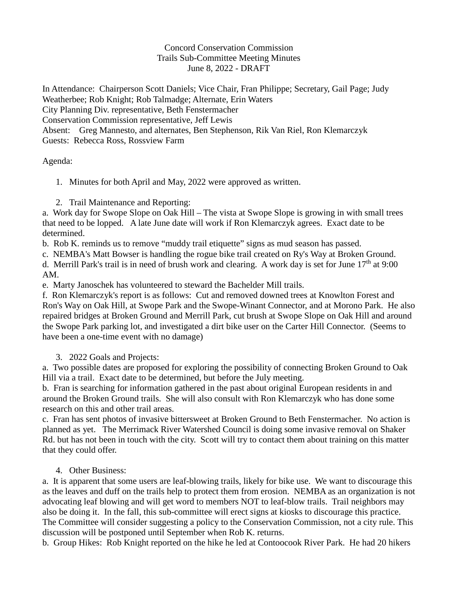## Concord Conservation Commission Trails Sub-Committee Meeting Minutes June 8, 2022 - DRAFT

In Attendance: Chairperson Scott Daniels; Vice Chair, Fran Philippe; Secretary, Gail Page; Judy Weatherbee; Rob Knight; Rob Talmadge; Alternate, Erin Waters City Planning Div. representative, Beth Fenstermacher Conservation Commission representative, Jeff Lewis Absent: Greg Mannesto, and alternates, Ben Stephenson, Rik Van Riel, Ron Klemarczyk Guests: Rebecca Ross, Rossview Farm

Agenda:

1. Minutes for both April and May, 2022 were approved as written.

2. Trail Maintenance and Reporting:

a. Work day for Swope Slope on Oak Hill – The vista at Swope Slope is growing in with small trees that need to be lopped. A late June date will work if Ron Klemarczyk agrees. Exact date to be determined.

b. Rob K. reminds us to remove "muddy trail etiquette" signs as mud season has passed.

c. NEMBA's Matt Bowser is handling the rogue bike trail created on Ry's Way at Broken Ground.

d. Merrill Park's trail is in need of brush work and clearing. A work day is set for June  $17<sup>th</sup>$  at 9:00 AM.

e. Marty Janoschek has volunteered to steward the Bachelder Mill trails.

f. Ron Klemarczyk's report is as follows: Cut and removed downed trees at Knowlton Forest and Ron's Way on Oak Hill, at Swope Park and the Swope-Winant Connector, and at Morono Park. He also repaired bridges at Broken Ground and Merrill Park, cut brush at Swope Slope on Oak Hill and around the Swope Park parking lot, and investigated a dirt bike user on the Carter Hill Connector. (Seems to have been a one-time event with no damage)

3. 2022 Goals and Projects:

a. Two possible dates are proposed for exploring the possibility of connecting Broken Ground to Oak Hill via a trail. Exact date to be determined, but before the July meeting.

b. Fran is searching for information gathered in the past about original European residents in and around the Broken Ground trails. She will also consult with Ron Klemarczyk who has done some research on this and other trail areas.

c. Fran has sent photos of invasive bittersweet at Broken Ground to Beth Fenstermacher. No action is planned as yet. The Merrimack River Watershed Council is doing some invasive removal on Shaker Rd. but has not been in touch with the city. Scott will try to contact them about training on this matter that they could offer.

## 4. Other Business:

a. It is apparent that some users are leaf-blowing trails, likely for bike use. We want to discourage this as the leaves and duff on the trails help to protect them from erosion. NEMBA as an organization is not advocating leaf blowing and will get word to members NOT to leaf-blow trails. Trail neighbors may also be doing it. In the fall, this sub-committee will erect signs at kiosks to discourage this practice. The Committee will consider suggesting a policy to the Conservation Commission, not a city rule. This discussion will be postponed until September when Rob K. returns.

b. Group Hikes: Rob Knight reported on the hike he led at Contoocook River Park. He had 20 hikers